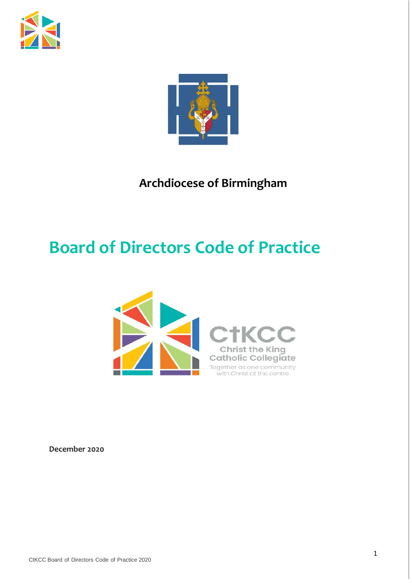



# **Archdiocese of Birmingham**

# **Board of Directors Code of Practice**



**December 2020**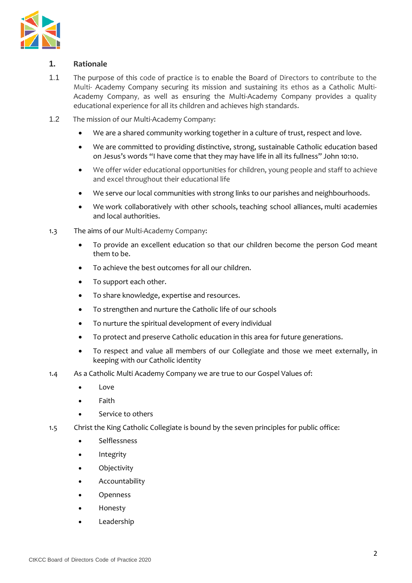

# **1. Rationale**

- 1.1 The purpose of this code of practice is to enable the Board of Directors to contribute to the Multi- Academy Company securing its mission and sustaining its ethos as a Catholic Multi-Academy Company, as well as ensuring the Multi-Academy Company provides a quality educational experience for all its children and achieves high standards.
- 1.2 The mission of our Multi-Academy Company:
	- We are a shared community working together in a culture of trust, respect and love.
	- We are committed to providing distinctive, strong, sustainable Catholic education based on Jesus's words "I have come that they may have life in all its fullness" John 10:10.
	- We offer wider educational opportunities for children, young people and staff to achieve and excel throughout their educational life
	- We serve our local communities with strong links to our parishes and neighbourhoods.
	- We work collaboratively with other schools, teaching school alliances, multi academies and local authorities.
- 1.3 The aims of our Multi-Academy Company:
	- To provide an excellent education so that our children become the person God meant them to be.
	- To achieve the best outcomes for all our children.
	- To support each other.
	- To share knowledge, expertise and resources.
	- To strengthen and nurture the Catholic life of our schools
	- To nurture the spiritual development of every individual
	- To protect and preserve Catholic education in this area for future generations.
	- To respect and value all members of our Collegiate and those we meet externally, in keeping with our Catholic identity
- 1.4 As a Catholic Multi Academy Company we are true to our Gospel Values of:
	- Love
	- Faith
	- Service to others
- 1.5 Christ the King Catholic Collegiate is bound by the seven principles for public office:
	- Selflessness
	- **Integrity**
	- **Objectivity**
	- Accountability
	- Openness
	- Honesty
	- **Leadership**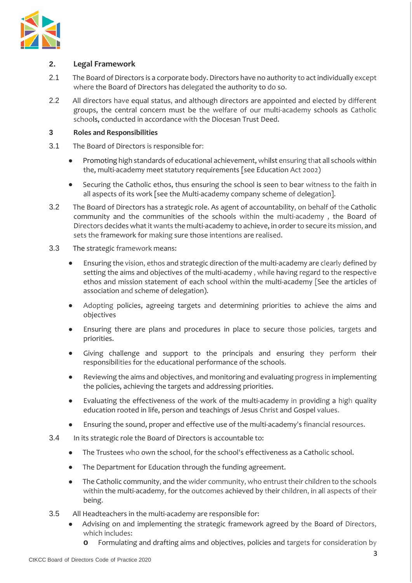

# **2. Legal Framework**

- 2.1 The Board of Directors is a corporate body. Directors have no authority to act individually except where the Board of Directors has delegated the authority to do so.
- 2.2 All directors have equal status, and although directors are appointed and elected by different groups, the central concern must be the welfare of our multi-academy schools as Catholic schools, conducted in accordance with the Diocesan Trust Deed.

# **3 Roles and Responsibilities**

- 3.1 The Board of Directors is responsible for:
	- Promoting high standards of educational achievement, whilst ensuring that all schools within the, multi-academy meet statutory requirements [see Education Act 2002)
	- Securing the Catholic ethos, thus ensuring the school is seen to bear witness to the faith in all aspects of its work [see the Multi-academy company scheme of delegation].
- 3.2 The Board of Directors has a strategic role. As agent of accountability, on behalf of the Catholic community and the communities of the schools within the multi-academy , the Board of Directors decides what it wants the multi-academy to achieve, in order to secure its mission, and sets the framework for making sure those intentions are realised.
- 3.3 The strategic framework means:
	- Ensuring the vision, ethos and strategic direction of the multi-academy are clearly defined by setting the aims and objectives of the multi-academy , while having regard to the respective ethos and mission statement of each school within the multi-academy [See the articles of association and scheme of delegation).
	- Adopting policies, agreeing targets and determining priorities to achieve the aims and objectives
	- Ensuring there are plans and procedures in place to secure those policies, targets and priorities.
	- Giving challenge and support to the principals and ensuring they perform their responsibilities for the educational performance of the schools.
	- Reviewing the aims and objectives, and monitoring and evaluating progress in implementing the policies, achieving the targets and addressing priorities.
	- Evaluating the effectiveness of the work of the multi-academy in providing a high quality education rooted in life, person and teachings of Jesus Christ and Gospel values.
	- Ensuring the sound, proper and effective use of the multi-academy's financial resources.
- 3.4 In its strategic role the Board of Directors is accountable to:
	- The Trustees who own the school, for the school's effectiveness as a Catholic school.
	- The Department for Education through the funding agreement.
	- The Catholic community, and the wider community, who entrust their children to the schools within the multi-academy, for the outcomes achieved by their children, in all aspects of their being.
- 3.5 All Headteachers in the multi-academy are responsible for:
	- Advising on and implementing the strategic framework agreed by the Board of Directors, which includes:
		- **o** Formulating and drafting aims and objectives, policies and targets for consideration by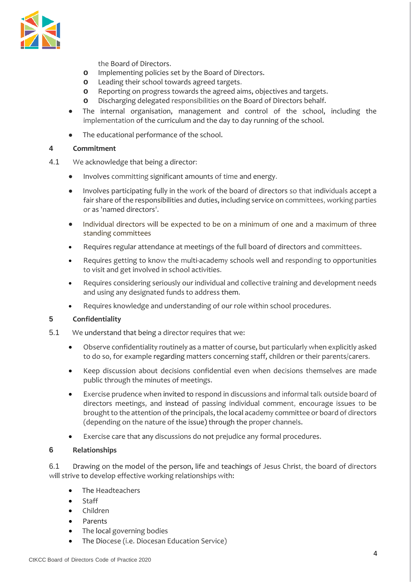

the Board of Directors.

- **o** Implementing policies set by the Board of Directors.
- **o** Leading their school towards agreed targets.
- **o** Reporting on progress towards the agreed aims, objectives and targets.
- **o** Discharging delegated responsibilities on the Board of Directors behalf.
- The internal organisation, management and control of the school, including the implementation of the curriculum and the day to day running of the school.
- The educational performance of the school.

#### **4 Commitment**

- 4.1 We acknowledge that being a director:
	- Involves committing significant amounts of time and energy.
	- Involves participating fully in the work of the board of directors so that individuals accept a fair share of the responsibilities and duties, including service on committees, working parties or as 'named directors'.
	- Individual directors will be expected to be on a minimum of one and a maximum of three standing committees
	- Requires regular attendance at meetings of the full board of directors and committees.
	- Requires getting to know the multi-academy schools well and responding to opportunities to visit and get involved in school activities.
	- Requires considering seriously our individual and collective training and development needs and using any designated funds to address them.
	- Requires knowledge and understanding of our role within school procedures.

# **5 Confidentiality**

- 5.1 We understand that being a director requires that we:
	- Observe confidentiality routinely as a matter of course, but particularly when explicitly asked to do so, for example regarding matters concerning staff, children or their parents/carers.
	- Keep discussion about decisions confidential even when decisions themselves are made public through the minutes of meetings.
	- Exercise prudence when invited to respond in discussions and informal talk outside board of directors meetings, and instead of passing individual comment, encourage issues to be brought to the attention of the principals, the local academy committee or board of directors (depending on the nature of the issue) through the proper channels.
	- Exercise care that any discussions do not prejudice any formal procedures.

#### **6 Relationships**

6.1 Drawing on the model of the person, life and teachings of Jesus Christ, the board of directors will strive to develop effective working relationships with:

- The Headteachers
- Staff
- Children
- Parents
- The local governing bodies
- The Diocese (i.e. Diocesan Education Service)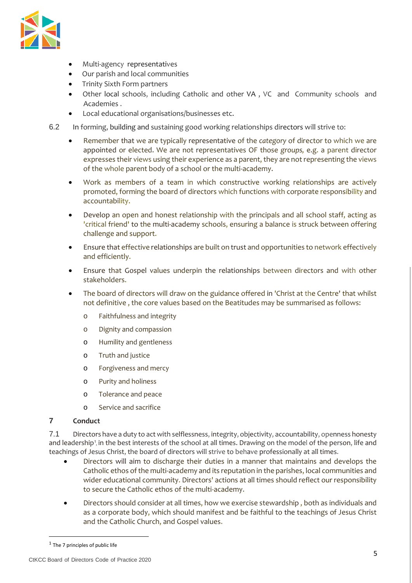

- Multi-agency representatives
- Our parish and local communities
- Trinity Sixth Form partners
- Other local schools, including Catholic and other VA , VC and Community schools and Academies .
- Local educational organisations/businesses etc.
- 6.2 In forming, building and sustaining good working relationships directors will strive to:
	- Remember that we are typically representative of the *category* of director to which we are appointed or elected. We are not representatives OF those *groups,* e.g. a parent director expresses their views using their experience as a parent, they are not representing the views of the whole parent body of a school or the multi-academy.
	- Work as members of a team in which constructive working relationships are actively promoted, forming the board of directors which functions with corporate responsibility and accountability.
	- Develop an open and honest relationship with the principals and all school staff, acting as 'critical friend' to the multi-academy schools, ensuring a balance is struck between offering challenge and support.
	- Ensure that effective relationships are built on trust and opportunities to network effectively and efficiently.
	- Ensure that Gospel values underpin the relationships between directors and with other stakeholders.
	- The board of directors will draw on the guidance offered in 'Christ at the Centre' that whilst not definitive , the core values based on the Beatitudes may be summarised as follows:
		- o Faithfulness and integrity
		- o Dignity and compassion
		- o Humility and gentleness
		- o Truth and justice
		- o Forgiveness and mercy
		- o Purity and holiness
		- o Tolerance and peace
		- o Service and sacrifice

# **7 Conduct**

7.1 Directors have a duty to act with selflessness, integrity, objectivity, accountability, openness honesty and leadership<sup>1</sup>, in the best interests of the school at all times. Drawing on the model of the person, life and teachings of Jesus Christ, the board of directors will strive to behave professionally at all times.

- Directors will aim to discharge their duties in a manner that maintains and develops the Catholic ethos of the multi-academy and its reputation in the parishes, local communities and wider educational community. Directors' actions at all times should reflect our responsibility to secure the Catholic ethos of the multi-academy.
- Directors should consider at all times, how we exercise stewardship , both as individuals and as a corporate body, which should manifest and be faithful to the teachings of Jesus Christ and the Catholic Church, and Gospel values.

<span id="page-4-0"></span> $1$  The 7 principles of public life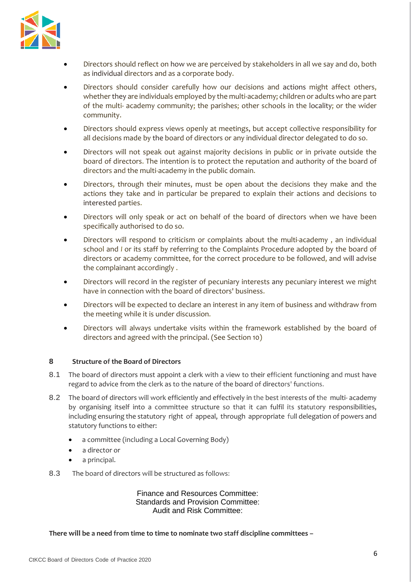

- Directors should reflect on how we are perceived by stakeholders in all we say and do, both as individual directors and as a corporate body.
- Directors should consider carefully how our decisions and actions might affect others, whether they are individuals employed by the multi-academy; children or adults who are part of the multi- academy community; the parishes; other schools in the locality; or the wider community.
- Directors should express views openly at meetings, but accept collective responsibility for all decisions made by the board of directors or any individual director delegated to do so.
- Directors will not speak out against majority decisions in public or in private outside the board of directors. The intention is to protect the reputation and authority of the board of directors and the multi-academy in the public domain.
- Directors, through their minutes, must be open about the decisions they make and the actions they take and in particular be prepared to explain their actions and decisions to interested parties.
- Directors will only speak or act on behalf of the board of directors when we have been specifically authorised to do so.
- Directors will respond to criticism or complaints about the multi-academy , an individual school and *I* or its staff by referring to the Complaints Procedure adopted by the board of directors or academy committee, for the correct procedure to be followed, and will advise the complainant accordingly .
- Directors will record in the register of pecuniary interests any pecuniary interest we might have in connection with the board of directors' business.
- Directors will be expected to declare an interest in any item of business and withdraw from the meeting while it is under discussion.
- Directors will always undertake visits within the framework established by the board of directors and agreed with the principal. (See Section 10)

#### **8 Structure of the Board of Directors**

- 8.1 The board of directors must appoint a clerk with a view to their efficient functioning and must have regard to advice from the clerk as to the nature of the board of directors' functions.
- 8.2 The board of directors will work efficiently and effectively in the best interests of the multi-academy by organising itself into a committee structure so that it can fulfil its statutory responsibilities, including ensuring the statutory right of appeal, through appropriate full delegation of powers and statutory functions to either:
	- a committee (including a Local Governing Body)
	- a director or
	- a principal.
- 8.3 The board of directors will be structured as follows:

Finance and Resources Committee: Standards and Provision Committee: Audit and Risk Committee:

**There will be a need from time to time to nominate two staff discipline committees –**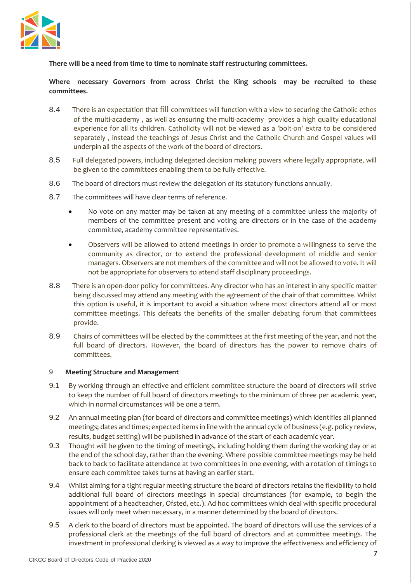

**There will be a need from time to time to nominate staff restructuring committees.**

**Where necessary Governors from across Christ the King schools may be recruited to these committees.**

- 8.4 There is an expectation that fill committees will function with a view to securing the Catholic ethos of the multi-academy , as well as ensuring the multi-academy provides a high quality educational experience for all its children. Catholicity will not be viewed as a 'bolt-on' extra to be considered separately , instead the teachings of Jesus Christ and the Catholic Church and Gospel values will underpin all the aspects of the work of the board of directors.
- 8.5 Full delegated powers, including delegated decision making powers where legally appropriate, will be given to the committees enabling them to be fully effective.
- 8.6 The board of directors must review the delegation of its statutory functions annually.
- 8.7 The committees will have clear terms of reference.
	- No vote on any matter may be taken at any meeting of a committee unless the majority of members of the committee present and voting are directors or in the case of the academy committee, academy committee representatives.
	- Observers will be allowed to attend meetings in order to promote a willingness to serve the community as director, or to extend the professional development of middle and senior managers. Observers are not members of the committee and will not be allowed to vote. It will not be appropriate for observers to attend staff disciplinary proceedings.
- 8.8 There is an open-door policy for committees. Any director who has an interest in any specific matter being discussed may attend any meeting with the agreement of the chair of that committee. Whilst this option is useful, it is important to avoid a situation where most directors attend all or most committee meetings. This defeats the benefits of the smaller debating forum that committees provide.
- 8.9 Chairs of committees will be elected by the committees at the first meeting of the year, and not the full board of directors. However, the board of directors has the power to remove chairs of committees.

#### 9 **Meeting Structure and Management**

- 9.1 By working through an effective and efficient committee structure the board of directors will strive to keep the number of full board of directors meetings to the minimum of three per academic year, which in normal circumstances will be one a term.
- 9.2 An annual meeting plan (for board of directors and committee meetings) which identifies all planned meetings; dates and times; expected items in line with the annual cycle of business (e.g. policy review, results, budget setting) will be published in advance of the start of each academic year.
- 9.3 Thought will be given to the timing of meetings, including holding them during the working day or at the end of the school day, rather than the evening. Where possible committee meetings may be held back to back to facilitate attendance at two committees in one evening, with a rotation of timings to ensure each committee takes turns at having an earlier start.
- 9.4 Whilst aiming for a tight regular meeting structure the board of directors retains the flexibility to hold additional full board of directors meetings in special circumstances (for example, to begin the appointment of a headteacher, Ofsted, etc.). Ad hoc committees which deal with specific procedural issues will only meet when necessary, in a manner determined by the board of directors.
- 9.5 A clerk to the board of directors must be appointed. The board of directors will use the services of a professional clerk at the meetings of the full board of directors and at committee meetings. The investment in professional clerking is viewed as a way to improve the effectiveness and efficiency of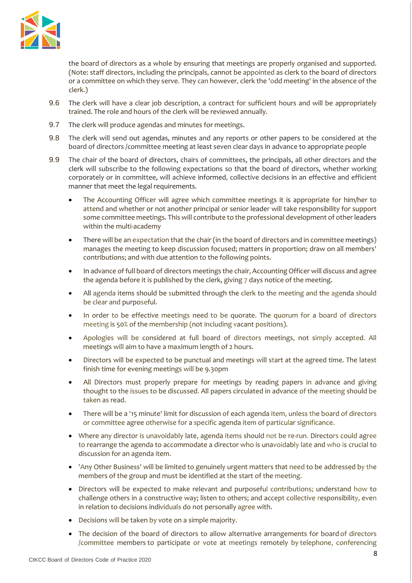

the board of directors as a whole by ensuring that meetings are properly organised and supported. (Note: staff directors, including the principals, cannot be appointed as clerk to the board of directors or a committee on which they serve. They can however, clerk the 'odd meeting' in the absence of the clerk.)

- 9.6 The clerk will have a clear job description, a contract for sufficient hours and will be appropriately trained. The role and hours of the clerk will be reviewed annually.
- 9.7 The clerk will produce agendas and minutes for meetings.
- 9.8 The clerk will send out agendas, minutes and any reports or other papers to be considered at the board of directors /committee meeting at least seven clear days in advance to appropriate people
- 9.9 The chair of the board of directors, chairs of committees, the principals, all other directors and the clerk will subscribe to the following expectations so that the board of directors, whether working corporately or in committee, will achieve informed, collective decisions in an effective and efficient manner that meet the legal requirements.
	- The Accounting Officer will agree which committee meetings it is appropriate for him/her to attend and whether or not another principal or senior leader will take responsibility for support some committee meetings. This will contribute to the professional development of other leaders within the multi-academy
	- There will be an expectation that the chair (in the board of directors and in committee meetings) manages the meeting to keep discussion focused; matters in proportion; draw on all members' contributions; and with due attention to the following points.
	- In advance of full board of directors meetings the chair, Accounting Officer will discuss and agree the agenda before it is published by the clerk, giving 7 days notice of the meeting.
	- All agenda items should be submitted through the clerk to the meeting and the agenda should be clear and purposeful.
	- In order to be effective meetings need to be quorate. The quorum for a board of directors meeting is 50% of the membership (not including vacant positions).
	- Apologies will be considered at full board of directors meetings, not simply accepted. All meetings will aim to have a maximum length of 2 hours.
	- Directors will be expected to be punctual and meetings will start at the agreed time. The latest finish time for evening meetings will be 9.30pm
	- All Directors must properly prepare for meetings by reading papers in advance and giving thought to the issues to be discussed. All papers circulated in advance of the meeting should be taken as read.
	- There will be a '15 minute' limit for discussion of each agenda item, unless the board of directors or committee agree otherwise for a specific agenda item of particular significance.
	- Where any director is unavoidably late, agenda items should not be re-run. Directors could agree to rearrange the agenda to accommodate a director who is unavoidably late and who is crucial to discussion for an agenda item.
	- 'Any Other Business' will be limited to genuinely urgent matters that need to be addressed by the members of the group and must be identified at the start of the meeting.
	- Directors will be expected to make relevant and purposeful contributions; understand how to challenge others in a constructive way; listen to others; and accept collective responsibility, even in relation to decisions individuals do not personally agree with.
	- Decisions will be taken by vote on a simple majority.
	- The decision of the board of directors to allow alternative arrangements for board of directors /committee members to participate or vote at meetings remotely by telephone, conferencing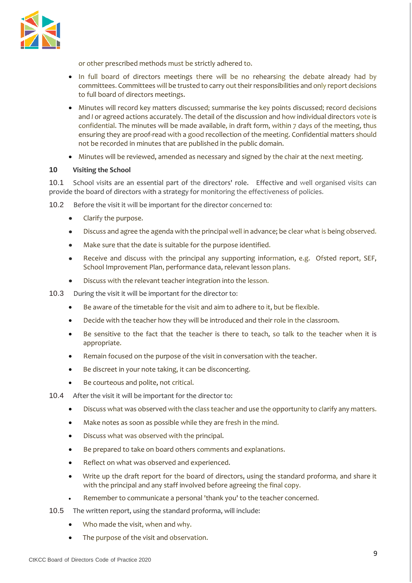

or other prescribed methods must be strictly adhered to.

- In full board of directors meetings there will be no rehearsing the debate already had by committees. Committees will be trusted to carry out their responsibilities and only report decisions to full board of directors meetings.
- Minutes will record key matters discussed; summarise the key points discussed; record decisions and *I* or agreed actions accurately. The detail of the discussion and how individual directors vote is confidential. The minutes will be made available, in draft form, within 7 days of the meeting, thus ensuring they are proof-read with a good recollection of the meeting. Confidential matters should not be recorded in minutes that are published in the public domain.
- Minutes will be reviewed, amended as necessary and signed by the chair at the next meeting.

#### **10 Visiting the School**

10.1 School visits are an essential part of the directors' role. Effective and well organised visits can provide the board of directors with a strategy for monitoring the effectiveness of policies.

10.2 Before the visit it will be important for the director concerned to:

- Clarify the purpose.
- Discuss and agree the agenda with the principal well in advance; be clear what is being observed.
- Make sure that the date is suitable for the purpose identified.
- Receive and discuss with the principal any supporting information, e.g. Ofsted report, SEF, School Improvement Plan, performance data, relevant lesson plans.
- Discuss with the relevant teacher integration into the lesson.
- 10.3 During the visit it will be important for the director to:
	- Be aware of the timetable for the visit and aim to adhere to it, but be flexible.
	- Decide with the teacher how they will be introduced and their role in the classroom.
	- Be sensitive to the fact that the teacher is there to teach, so talk to the teacher when it is appropriate.
	- Remain focused on the purpose of the visit in conversation with the teacher.
	- Be discreet in your note taking, it can be disconcerting.
	- Be courteous and polite, not critical.
- 10.4 After the visit it will be important for the director to:
	- Discuss what was observed with the class teacher and use the opportunity to clarify any matters.
	- Make notes as soon as possible while they are fresh in the mind.
	- Discuss what was observed with the principal.
	- Be prepared to take on board others comments and explanations.
	- Reflect on what was observed and experienced.
	- Write up the draft report for the board of directors, using the standard proforma, and share it with the principal and any staff involved before agreeing the final copy.
	- Remember to communicate a personal 'thank you' to the teacher concerned.
- 10.5 The written report, using the standard proforma, will include:
	- Who made the visit, when and why.
	- The purpose of the visit and observation.